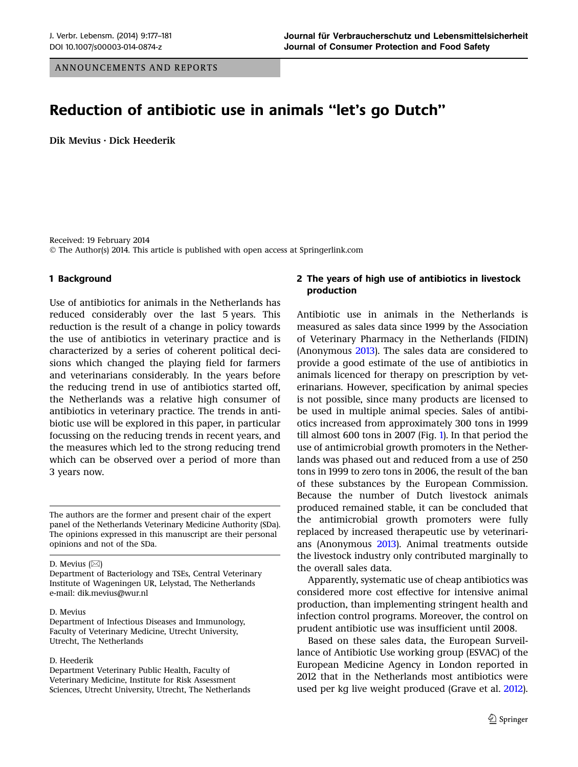ANNOUNCEMENTS AND REPORTS

# Reduction of antibiotic use in animals ''let's go Dutch''

Dik Mevius • Dick Heederik

Received: 19 February 2014  $\odot$  The Author(s) 2014. This article is published with open access at Springerlink.com

# 1 Background

Use of antibiotics for animals in the Netherlands has reduced considerably over the last 5 years. This reduction is the result of a change in policy towards the use of antibiotics in veterinary practice and is characterized by a series of coherent political decisions which changed the playing field for farmers and veterinarians considerably. In the years before the reducing trend in use of antibiotics started off, the Netherlands was a relative high consumer of antibiotics in veterinary practice. The trends in antibiotic use will be explored in this paper, in particular focussing on the reducing trends in recent years, and the measures which led to the strong reducing trend which can be observed over a period of more than 3 years now.

The authors are the former and present chair of the expert panel of the Netherlands Veterinary Medicine Authority (SDa). The opinions expressed in this manuscript are their personal opinions and not of the SDa.

### D. Mevius  $(\boxtimes)$

### D. Mevius

Department of Infectious Diseases and Immunology, Faculty of Veterinary Medicine, Utrecht University, Utrecht, The Netherlands

## D. Heederik

Department Veterinary Public Health, Faculty of Veterinary Medicine, Institute for Risk Assessment Sciences, Utrecht University, Utrecht, The Netherlands

# 2 The years of high use of antibiotics in livestock production

Antibiotic use in animals in the Netherlands is measured as sales data since 1999 by the Association of Veterinary Pharmacy in the Netherlands (FIDIN) (Anonymous [2013](#page-3-0)). The sales data are considered to provide a good estimate of the use of antibiotics in animals licenced for therapy on prescription by veterinarians. However, specification by animal species is not possible, since many products are licensed to be used in multiple animal species. Sales of antibiotics increased from approximately 300 tons in 1999 till almost 600 tons in 2007 (Fig. [1\)](#page-1-0). In that period the use of antimicrobial growth promoters in the Netherlands was phased out and reduced from a use of 250 tons in 1999 to zero tons in 2006, the result of the ban of these substances by the European Commission. Because the number of Dutch livestock animals produced remained stable, it can be concluded that the antimicrobial growth promoters were fully replaced by increased therapeutic use by veterinarians (Anonymous [2013\)](#page-3-0). Animal treatments outside the livestock industry only contributed marginally to the overall sales data.

Apparently, systematic use of cheap antibiotics was considered more cost effective for intensive animal production, than implementing stringent health and infection control programs. Moreover, the control on prudent antibiotic use was insufficient until 2008.

Based on these sales data, the European Surveillance of Antibiotic Use working group (ESVAC) of the European Medicine Agency in London reported in 2012 that in the Netherlands most antibiotics were used per kg live weight produced (Grave et al. [2012](#page-4-0)).

Department of Bacteriology and TSEs, Central Veterinary Institute of Wageningen UR, Lelystad, The Netherlands e-mail: dik.mevius@wur.nl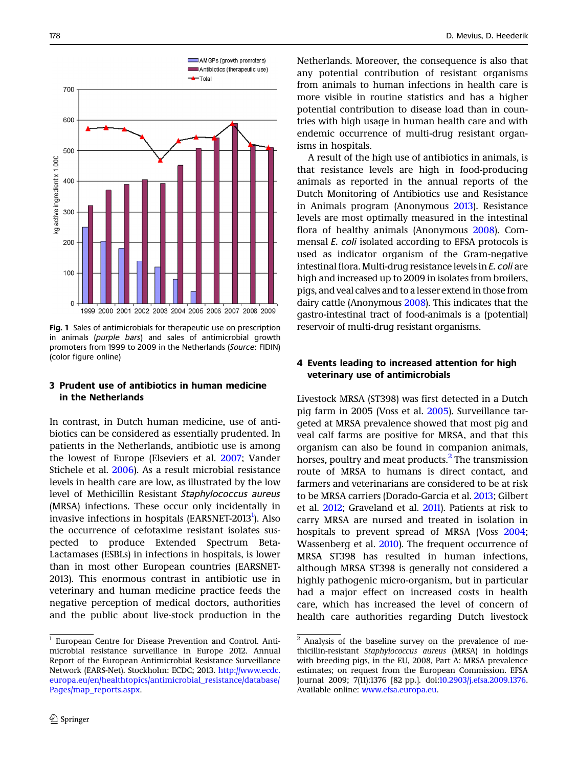<span id="page-1-0"></span>

Fig. 1 Sales of antimicrobials for therapeutic use on prescription in animals (purple bars) and sales of antimicrobial growth promoters from 1999 to 2009 in the Netherlands (Source: FIDIN) (color figure online)

# 3 Prudent use of antibiotics in human medicine in the Netherlands

In contrast, in Dutch human medicine, use of antibiotics can be considered as essentially prudented. In patients in the Netherlands, antibiotic use is among the lowest of Europe (Elseviers et al. [2007;](#page-4-0) Vander Stichele et al. [2006\)](#page-4-0). As a result microbial resistance levels in health care are low, as illustrated by the low level of Methicillin Resistant Staphylococcus aureus (MRSA) infections. These occur only incidentally in invasive infections in hospitals (EARSNET-2013<sup>1</sup>). Also the occurrence of cefotaxime resistant isolates suspected to produce Extended Spectrum Beta-Lactamases (ESBLs) in infections in hospitals, is lower than in most other European countries (EARSNET-2013). This enormous contrast in antibiotic use in veterinary and human medicine practice feeds the negative perception of medical doctors, authorities and the public about live-stock production in the Netherlands. Moreover, the consequence is also that any potential contribution of resistant organisms from animals to human infections in health care is more visible in routine statistics and has a higher potential contribution to disease load than in countries with high usage in human health care and with endemic occurrence of multi-drug resistant organisms in hospitals.

A result of the high use of antibiotics in animals, is that resistance levels are high in food-producing animals as reported in the annual reports of the Dutch Monitoring of Antibiotics use and Resistance in Animals program (Anonymous [2013\)](#page-3-0). Resistance levels are most optimally measured in the intestinal flora of healthy animals (Anonymous [2008\)](#page-3-0). Commensal E. coli isolated according to EFSA protocols is used as indicator organism of the Gram-negative intestinal flora. Multi-drug resistance levels in E. coli are high and increased up to 2009 in isolates from broilers, pigs, and veal calves and to a lesser extend in those from dairy cattle (Anonymous [2008\)](#page-3-0). This indicates that the gastro-intestinal tract of food-animals is a (potential) reservoir of multi-drug resistant organisms.

# 4 Events leading to increased attention for high veterinary use of antimicrobials

Livestock MRSA (ST398) was first detected in a Dutch pig farm in 2005 (Voss et al. [2005](#page-4-0)). Surveillance targeted at MRSA prevalence showed that most pig and veal calf farms are positive for MRSA, and that this organism can also be found in companion animals, horses, poultry and meat products.<sup>2</sup> The transmission route of MRSA to humans is direct contact, and farmers and veterinarians are considered to be at risk to be MRSA carriers (Dorado-Garcia et al. [2013](#page-4-0); Gilbert et al. [2012;](#page-4-0) Graveland et al. [2011](#page-4-0)). Patients at risk to carry MRSA are nursed and treated in isolation in hospitals to prevent spread of MRSA (Voss [2004;](#page-4-0) Wassenberg et al. [2010](#page-4-0)). The frequent occurrence of MRSA ST398 has resulted in human infections, although MRSA ST398 is generally not considered a highly pathogenic micro-organism, but in particular had a major effect on increased costs in health care, which has increased the level of concern of health care authorities regarding Dutch livestock

<sup>1</sup> European Centre for Disease Prevention and Control. Antimicrobial resistance surveillance in Europe 2012. Annual Report of the European Antimicrobial Resistance Surveillance Network (EARS-Net). Stockholm: ECDC; 2013. [http://www.ecdc.](http://www.ecdc.europa.eu/en/healthtopics/antimicrobial_resistance/database/Pages/map_reports.aspx) [europa.eu/en/healthtopics/antimicrobial\\_resistance/database/](http://www.ecdc.europa.eu/en/healthtopics/antimicrobial_resistance/database/Pages/map_reports.aspx) [Pages/map\\_reports.aspx](http://www.ecdc.europa.eu/en/healthtopics/antimicrobial_resistance/database/Pages/map_reports.aspx).

<sup>2</sup> Analysis of the baseline survey on the prevalence of methicillin-resistant Staphylococcus aureus (MRSA) in holdings with breeding pigs, in the EU, 2008, Part A: MRSA prevalence estimates; on request from the European Commission. EFSA Journal 2009; 7(11):1376 [82 pp.]. doi[:10.2903/j.efsa.2009.1376](http://dx.doi.org/10.2903/j.efsa.2009.1376). Available online: [www.efsa.europa.eu](http://www.efsa.europa.eu).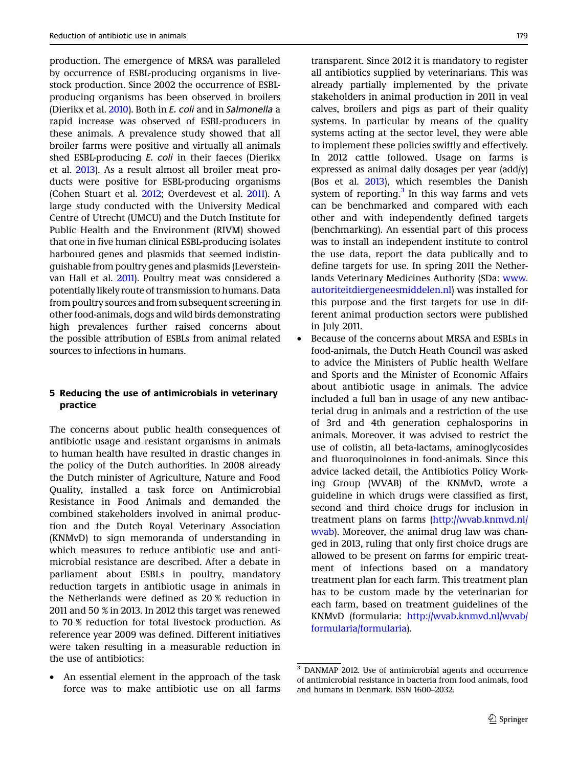production. The emergence of MRSA was paralleled by occurrence of ESBL-producing organisms in livestock production. Since 2002 the occurrence of ESBLproducing organisms has been observed in broilers (Dierikx et al. [2010](#page-3-0)). Both in E. coli and in Salmonella a rapid increase was observed of ESBL-producers in these animals. A prevalence study showed that all broiler farms were positive and virtually all animals shed ESBL-producing E. coli in their faeces (Dierikx et al. [2013](#page-4-0)). As a result almost all broiler meat products were positive for ESBL-producing organisms (Cohen Stuart et al. [2012](#page-3-0); Overdevest et al. [2011\)](#page-4-0). A large study conducted with the University Medical Centre of Utrecht (UMCU) and the Dutch Institute for Public Health and the Environment (RIVM) showed that one in five human clinical ESBL-producing isolates harboured genes and plasmids that seemed indistinguishable from poultry genes and plasmids (Leversteinvan Hall et al. [2011](#page-4-0)). Poultry meat was considered a potentially likely route of transmission to humans. Data from poultry sources and from subsequent screening in other food-animals, dogs and wild birds demonstrating high prevalences further raised concerns about the possible attribution of ESBLs from animal related sources to infections in humans.

## 5 Reducing the use of antimicrobials in veterinary practice

The concerns about public health consequences of antibiotic usage and resistant organisms in animals to human health have resulted in drastic changes in the policy of the Dutch authorities. In 2008 already the Dutch minister of Agriculture, Nature and Food Quality, installed a task force on Antimicrobial Resistance in Food Animals and demanded the combined stakeholders involved in animal production and the Dutch Royal Veterinary Association (KNMvD) to sign memoranda of understanding in which measures to reduce antibiotic use and antimicrobial resistance are described. After a debate in parliament about ESBLs in poultry, mandatory reduction targets in antibiotic usage in animals in the Netherlands were defined as 20 % reduction in 2011 and 50 % in 2013. In 2012 this target was renewed to 70 % reduction for total livestock production. As reference year 2009 was defined. Different initiatives were taken resulting in a measurable reduction in the use of antibiotics:

• An essential element in the approach of the task force was to make antibiotic use on all farms

transparent. Since 2012 it is mandatory to register all antibiotics supplied by veterinarians. This was already partially implemented by the private stakeholders in animal production in 2011 in veal calves, broilers and pigs as part of their quality systems. In particular by means of the quality systems acting at the sector level, they were able to implement these policies swiftly and effectively. In 2012 cattle followed. Usage on farms is expressed as animal daily dosages per year (add/y) (Bos et al. [2013](#page-3-0)), which resembles the Danish system of reporting. $3$  In this way farms and vets can be benchmarked and compared with each other and with independently defined targets (benchmarking). An essential part of this process was to install an independent institute to control the use data, report the data publically and to define targets for use. In spring 2011 the Netherlands Veterinary Medicines Authority (SDa: [www.](http://www.autoriteitdiergeneesmiddelen.nl) [autoriteitdiergeneesmiddelen.nl](http://www.autoriteitdiergeneesmiddelen.nl)) was installed for this purpose and the first targets for use in different animal production sectors were published in July 2011.

• Because of the concerns about MRSA and ESBLs in food-animals, the Dutch Heath Council was asked to advice the Ministers of Public health Welfare and Sports and the Minister of Economic Affairs about antibiotic usage in animals. The advice included a full ban in usage of any new antibacterial drug in animals and a restriction of the use of 3rd and 4th generation cephalosporins in animals. Moreover, it was advised to restrict the use of colistin, all beta-lactams, aminoglycosides and fluoroquinolones in food-animals. Since this advice lacked detail, the Antibiotics Policy Working Group (WVAB) of the KNMvD, wrote a guideline in which drugs were classified as first, second and third choice drugs for inclusion in treatment plans on farms [\(http://wvab.knmvd.nl/](http://wvab.knmvd.nl/wvab) [wvab\)](http://wvab.knmvd.nl/wvab). Moreover, the animal drug law was changed in 2013, ruling that only first choice drugs are allowed to be present on farms for empiric treatment of infections based on a mandatory treatment plan for each farm. This treatment plan has to be custom made by the veterinarian for each farm, based on treatment guidelines of the KNMvD (formularia: [http://wvab.knmvd.nl/wvab/](http://wvab.knmvd.nl/wvab/formularia/formularia) [formularia/formularia](http://wvab.knmvd.nl/wvab/formularia/formularia)).

<sup>3</sup> DANMAP 2012. Use of antimicrobial agents and occurrence of antimicrobial resistance in bacteria from food animals, food and humans in Denmark. ISSN 1600–2032.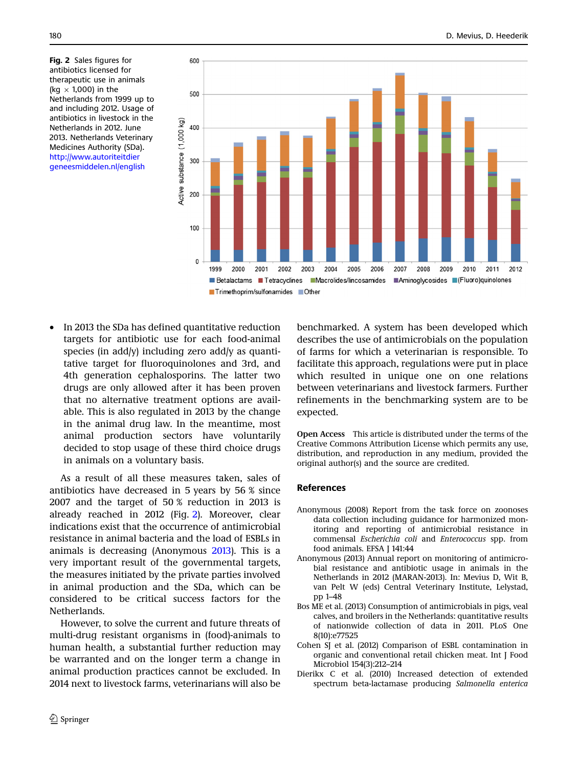<span id="page-3-0"></span>Fig. 2 Sales figures for antibiotics licensed for therapeutic use in animals (kg  $\times$  1,000) in the Netherlands from 1999 up to and including 2012. Usage of antibiotics in livestock in the Netherlands in 2012. June 2013. Netherlands Veterinary Medicines Authority (SDa). [http://www.autoriteitdier](http://www.autoriteitdiergeneesmiddelen.nl/english) [geneesmiddelen.nl/english](http://www.autoriteitdiergeneesmiddelen.nl/english)



• In 2013 the SDa has defined quantitative reduction targets for antibiotic use for each food-animal species (in add/y) including zero add/y as quantitative target for fluoroquinolones and 3rd, and 4th generation cephalosporins. The latter two drugs are only allowed after it has been proven that no alternative treatment options are available. This is also regulated in 2013 by the change in the animal drug law. In the meantime, most animal production sectors have voluntarily decided to stop usage of these third choice drugs in animals on a voluntary basis.

As a result of all these measures taken, sales of antibiotics have decreased in 5 years by 56 % since 2007 and the target of 50 % reduction in 2013 is already reached in 2012 (Fig. 2). Moreover, clear indications exist that the occurrence of antimicrobial resistance in animal bacteria and the load of ESBLs in animals is decreasing (Anonymous 2013). This is a very important result of the governmental targets, the measures initiated by the private parties involved in animal production and the SDa, which can be considered to be critical success factors for the Netherlands.

However, to solve the current and future threats of multi-drug resistant organisms in (food)-animals to human health, a substantial further reduction may be warranted and on the longer term a change in animal production practices cannot be excluded. In 2014 next to livestock farms, veterinarians will also be

benchmarked. A system has been developed which describes the use of antimicrobials on the population of farms for which a veterinarian is responsible. To facilitate this approach, regulations were put in place which resulted in unique one on one relations between veterinarians and livestock farmers. Further refinements in the benchmarking system are to be expected.

Open Access This article is distributed under the terms of the Creative Commons Attribution License which permits any use, distribution, and reproduction in any medium, provided the original author(s) and the source are credited.

### References

- Anonymous (2008) Report from the task force on zoonoses data collection including guidance for harmonized monitoring and reporting of antimicrobial resistance in commensal Escherichia coli and Enterococcus spp. from food animals. EFSA J 141:44
- Anonymous (2013) Annual report on monitoring of antimicrobial resistance and antibiotic usage in animals in the Netherlands in 2012 (MARAN-2013). In: Mevius D, Wit B, van Pelt W (eds) Central Veterinary Institute, Lelystad, pp 1–48
- Bos ME et al. (2013) Consumption of antimicrobials in pigs, veal calves, and broilers in the Netherlands: quantitative results of nationwide collection of data in 2011. PLoS One 8(10):e77525
- Cohen SJ et al. (2012) Comparison of ESBL contamination in organic and conventional retail chicken meat. Int J Food Microbiol 154(3):212–214
- Dierikx C et al. (2010) Increased detection of extended spectrum beta-lactamase producing Salmonella enterica